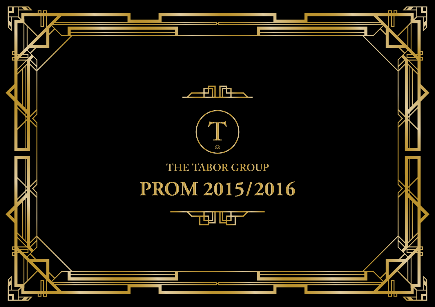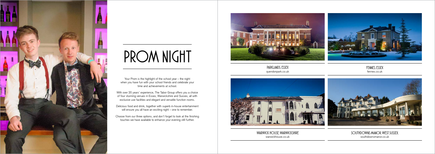Your Prom is the highlight of the school year – the night when you have fun with your school friends and celebrate your time and achievements at school.

With over 20 years' experience, The Tabor Group offers you a choice of four stunning venues in Essex, Warwickshire and Sussex, all with exclusive use facilities and elegant and versatile function rooms.

Delicious food and drink, together with superb in-house entertainment will ensure you all have an exciting night – one to remember.

Choose from our three options, and don't forget to look at the finishing touches we have available to enhance your evening still further.





# *Prom Night*

*Parklands, essex* quendonpark.co.uk



*Fennes, Essex* fennes.co.uk

*Warwick House, warwickshire* warwickhouse.co.uk

*Southdowns Manor, West Sussex,*  southdownsmanor.co.uk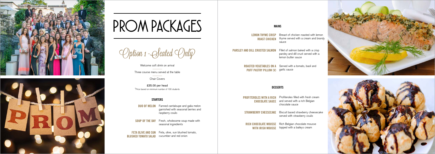



## *Prom Packages*

Welcome soft drink on arrival

Three course menu served at the table

Chair Covers

£35.00 per head \*Price based on minimum number of 100 students

**DUO OF MELON** Fanned cantaloupe and galia melon garnished with seasonal berries and raspberry coulis

Option 1 -Seated Only

**SOUP OF THE DAY** Fresh, wholesome soup made with seasonal ingredients

**Feta Olive and Sun**  Feta, olive, sun blushed tomato, **Blushed Tomato Salad** cucumber and red onion

#### **Starters**

**PROFITEROLES WITH A RICH** Profiteroles filled with fresh cream and served with a rich Belgian chocolate sauce

**STRAWBERRY CHEESECAKE** Biscuit based strawberry cheesecake

**Lemon Thyme Crisp ROAST CHICKEN** thyme served with a cream and brandy Breast of chicken roasted with lemon sauce

**PARSLEY AND DILL CRUSTED SALMON** Fillet of salmon baked with a crisp

**Mains**

parsley and dill crust served with a lemon butter sauce

**ROASTED VEGETABLES ON A** Served with a tomato, basil and **PUFF PASTRY PILLOW (V)** garlic sauce

**Chocolate Sauce** 

served with strawberry coulis

**Rich Chocolate Mousse** 

**with Irish Mousse** topped with a baileys cream Rich Belgian chocolate mousse



#### **Desserts**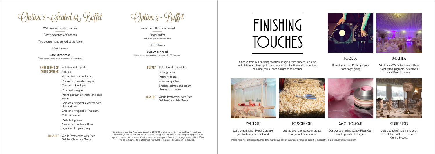Individual cottage pie Fish pie **thesE options** Minced beef and onion pie Chicken and mushroom pie Cheese and leek pie Rich beef lasagne Penne pasta in a tomato and basil sauce Chicken or vegetable Jalfrezi with steamed rice Chicken or vegetable Thai curry Chilli con carne Pasta bolognaise A vegetarian option will be organised for your group **Choose one of** 

**BUFFET** Selection of sandwiches Sausage rolls Potato wedges Individual quiches Smoked salmon and cream cheese mini bagels

Vanilla Profiteroles with Rich Belgian Chocolate Sauce **Dessert**

**DESSERT** Vanilla Profiteroles with Rich Belgian Chocolate Sauce

Conditions of booking. A damage deposit of £600.00 is taken to confirm your booking. 1 month prior to the event you will be charged for the full amount of guests attending against the package price. Your deposit is retained by the venue after the event has taken place. Should no damage be caused the £600 will be reimbursed to you following your event. 1 teacher/15 student ratio is required.

)ption 2 - Seated or , Bullet

Welcome soft drink on arrival Chef's selection of Canapés Two course menu served at the table

Chair Covers

£35.00 per head \*Price based on minimum number of 100 students Option 3 - Buffet

Book the House DJ to get your Prom Night going!

Welcome soft drink on arrival

Finger buffet suitable for the smaller numbers.

Chair Covers

£32.00 per head \*Price based on a minimum number of 100 students. *Finishing touches*

#### *House DJ*

*Uplighters*

Add the WOW factor to your Prom Night with Uplighters, available in six different colours.



#### *Sweet Cart*

Let the traditional Sweet Cart take you back to your childhood.

*Popcorn Cart*

Let the aroma of popcorn create unforgettable memories.

### *Candy Floss Cart*

Our sweet smelling Candy Floss Cart tempts guests of all ages.



## *Centre pieces*

Add a touch of sparkle to your Prom tables with a selection of Centre Pieces.

Choose from our finishing touches, ranging from superb in-house entertainment, through to our candy cart collection and decorations ensuring you all have a night to remember.





\*Please note! Not all finishing touches items may be available at each venue. Items are subject to availability. Please discuss further to confirm.